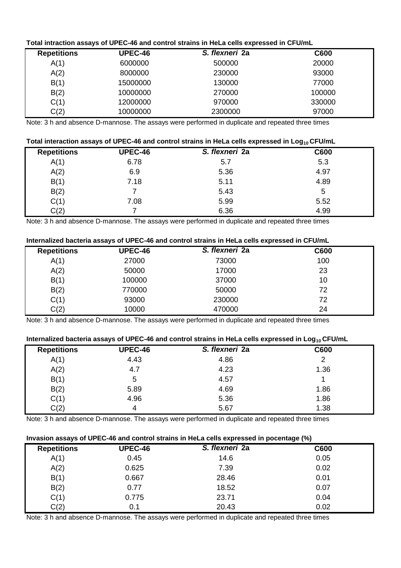# **Total intraction assays of UPEC-46 and control strains in HeLa cells expressed in CFU/mL**

| <b>Repetitions</b> | <b>UPEC-46</b> | S. flexneri 2a | <b>C600</b> |
|--------------------|----------------|----------------|-------------|
| A(1)               | 6000000        | 500000         | 20000       |
| A(2)               | 8000000        | 230000         | 93000       |
| B(1)               | 15000000       | 130000         | 77000       |
| B(2)               | 10000000       | 270000         | 100000      |
| C(1)               | 12000000       | 970000         | 330000      |
| C(2)               | 10000000       | 2300000        | 97000       |

Note: 3 h and absence D-mannose. The assays were performed in duplicate and repeated three times

# **Total interaction assays of UPEC-46 and control strains in HeLa cells expressed in Log10 CFU/mL**

| <b>Repetitions</b> | <b>UPEC-46</b> | S. flexneri 2a | C600 |  |
|--------------------|----------------|----------------|------|--|
| A(1)               | 6.78           | 5.7            | 5.3  |  |
| A(2)               | 6.9            | 5.36           | 4.97 |  |
| B(1)               | 7.18           | 5.11           | 4.89 |  |
| B(2)               |                | 5.43           | 5    |  |
| C(1)               | 7.08           | 5.99           | 5.52 |  |
| C(2)               |                | 6.36           | 4.99 |  |

Note: 3 h and absence D-mannose. The assays were performed in duplicate and repeated three times

# **Internalized bacteria assays of UPEC-46 and control strains in HeLa cells expressed in CFU/mL**

| <b>Repetitions</b> | <b>UPEC-46</b> | S. flexneri 2a | C600 |
|--------------------|----------------|----------------|------|
| A(1)               | 27000          | 73000          | 100  |
| A(2)               | 50000          | 17000          | 23   |
| B(1)               | 100000         | 37000          | 10   |
| B(2)               | 770000         | 50000          | 72   |
| C(1)               | 93000          | 230000         | 72   |
| C(2)               | 10000          | 470000         | 24   |

Note: 3 h and absence D-mannose. The assays were performed in duplicate and repeated three times

# **Internalized bacteria assays of UPEC-46 and control strains in HeLa cells expressed in Log10 CFU/mL**

| <b>Repetitions</b> | <b>UPEC-46</b> | S. flexneri 2a | C600 |  |
|--------------------|----------------|----------------|------|--|
| A(1)               | 4.43           | 4.86           | 2    |  |
| A(2)               | 4.7            | 4.23           | 1.36 |  |
| B(1)               | 5              | 4.57           |      |  |
| B(2)               | 5.89           | 4.69           | 1.86 |  |
| C(1)               | 4.96           | 5.36           | 1.86 |  |
| C(2)               |                | 5.67           | 1.38 |  |

Note: 3 h and absence D-mannose. The assays were performed in duplicate and repeated three times

# **Invasion assays of UPEC-46 and control strains in HeLa cells expressed in pocentage (%)**

| <b>Repetitions</b> | <b>UPEC-46</b> | S. flexneri 2a | <b>C600</b> |
|--------------------|----------------|----------------|-------------|
| A(1)               | 0.45           | 14.6           | 0.05        |
| A(2)               | 0.625          | 7.39           | 0.02        |
| B(1)               | 0.667          | 28.46          | 0.01        |
| B(2)               | 0.77           | 18.52          | 0.07        |
| C(1)               | 0.775          | 23.71          | 0.04        |
| C(2)               | 0.1            | 20.43          | 0.02        |

Note: 3 h and absence D-mannose. The assays were performed in duplicate and repeated three times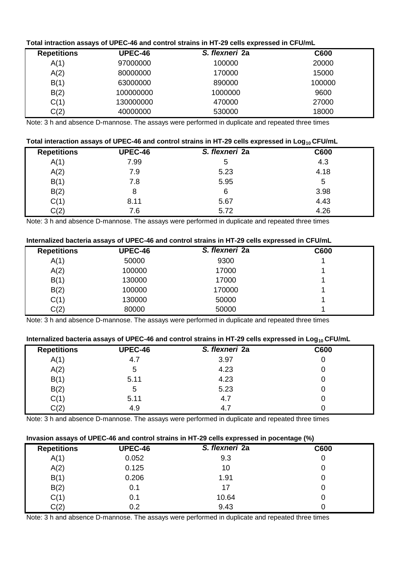# **Total intraction assays of UPEC-46 and control strains in HT-29 cells expressed in CFU/mL**

| <b>Repetitions</b> | <b>UPEC-46</b> | S. flexneri 2a | <b>C600</b> |
|--------------------|----------------|----------------|-------------|
| A(1)               | 97000000       | 100000         | 20000       |
| A(2)               | 80000000       | 170000         | 15000       |
| B(1)               | 63000000       | 890000         | 100000      |
| B(2)               | 100000000      | 1000000        | 9600        |
| C(1)               | 130000000      | 470000         | 27000       |
| C(2)               | 40000000       | 530000         | 18000       |

Note: 3 h and absence D-mannose. The assays were performed in duplicate and repeated three times

# **Total interaction assays of UPEC-46 and control strains in HT-29 cells expressed in Log10 CFU/mL**

| <b>Repetitions</b> | <b>UPEC-46</b> | S. flexneri 2a | C600 |  |
|--------------------|----------------|----------------|------|--|
| A(1)               | 7.99           | 5              | 4.3  |  |
| A(2)               | 7.9            | 5.23           | 4.18 |  |
| B(1)               | 7.8            | 5.95           | 5    |  |
| B(2)               | 8              | 6              | 3.98 |  |
| C(1)               | 8.11           | 5.67           | 4.43 |  |
| C(2)               | 7.6            | 5.72           | 4.26 |  |

Note: 3 h and absence D-mannose. The assays were performed in duplicate and repeated three times

#### **Internalized bacteria assays of UPEC-46 and control strains in HT-29 cells expressed in CFU/mL**

| <b>Repetitions</b> | <b>UPEC-46</b> | S. flexneri 2a | C600 |
|--------------------|----------------|----------------|------|
| A(1)               | 50000          | 9300           |      |
| A(2)               | 100000         | 17000          |      |
| B(1)               | 130000         | 17000          |      |
| B(2)               | 100000         | 170000         |      |
| C(1)               | 130000         | 50000          |      |
| C(2)               | 80000          | 50000          |      |

Note: 3 h and absence D-mannose. The assays were performed in duplicate and repeated three times

# **Internalized bacteria assays of UPEC-46 and control strains in HT-29 cells expressed in Log10 CFU/mL**

|                    |                |                | - - - |  |
|--------------------|----------------|----------------|-------|--|
| <b>Repetitions</b> | <b>UPEC-46</b> | S. flexneri 2a | C600  |  |
| A(1)               | 4.7            | 3.97           | U     |  |
| A(2)               | 5              | 4.23           | U     |  |
| B(1)               | 5.11           | 4.23           | u     |  |
| B(2)               | 5              | 5.23           |       |  |
| C(1)               | 5.11           | 4.7            |       |  |
| C(2)               | 4.9            | 4.             |       |  |

Note: 3 h and absence D-mannose. The assays were performed in duplicate and repeated three times

# **Invasion assays of UPEC-46 and control strains in HT-29 cells expressed in pocentage (%)**

| <b>Repetitions</b> | <b>UPEC-46</b> | S. flexneri 2a | C600 |
|--------------------|----------------|----------------|------|
| A(1)               | 0.052          | 9.3            | 0    |
| A(2)               | 0.125          | 10             | U    |
| B(1)               | 0.206          | 1.91           | U    |
| B(2)               | 0.1            | 17             | U    |
| C(1)               | 0.1            | 10.64          | U    |
| C(2)               | 0.2            | 9.43           |      |

Note: 3 h and absence D-mannose. The assays were performed in duplicate and repeated three times